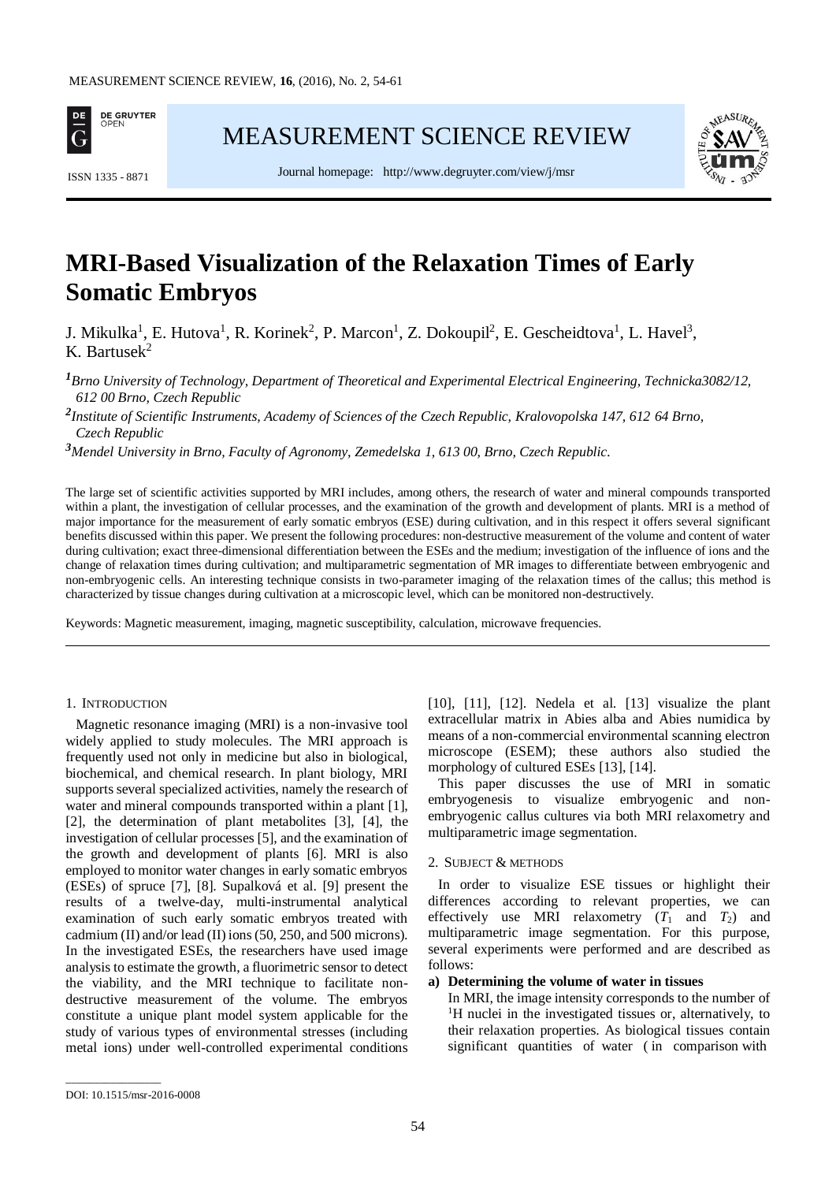

[MEASUREMENT SCIENCE REVIEW](http://www.measurement.sk/)



Journal homepage: <http://www.degruyter.com/view/j/msr> ISSN 1335 - <sup>8871</sup>

# **MRI-Based Visualization of the Relaxation Times of Early Somatic Embryos**

J. Mikulka<sup>1</sup>, E. Hutova<sup>1</sup>, R. Korinek<sup>2</sup>, P. Marcon<sup>1</sup>, Z. Dokoupil<sup>2</sup>, E. Gescheidtova<sup>1</sup>, L. Havel<sup>3</sup>, K. Bartusek $^2$ 

*<sup>1</sup>Brno University of Technology, Department of Theoretical and Experimental Electrical Engineering, Technicka3082/12, 612 00 Brno, Czech Republic*

*2 Institute of Scientific Instruments, Academy of Sciences of the Czech Republic, Kralovopolska 147, 612 64 Brno, Czech Republic*

*<sup>3</sup>Mendel University in Brno, Faculty of Agronomy, Zemedelska 1, 613 00, Brno, Czech Republic.*

The large set of scientific activities supported by MRI includes, among others, the research of water and mineral compounds transported within a plant, the investigation of cellular processes, and the examination of the growth and development of plants. MRI is a method of major importance for the measurement of early somatic embryos (ESE) during cultivation, and in this respect it offers several significant benefits discussed within this paper. We present the following procedures: non-destructive measurement of the volume and content of water during cultivation; exact three-dimensional differentiation between the ESEs and the medium; investigation of the influence of ions and the change of relaxation times during cultivation; and multiparametric segmentation of MR images to differentiate between embryogenic and non-embryogenic cells. An interesting technique consists in two-parameter imaging of the relaxation times of the callus; this method is characterized by tissue changes during cultivation at a microscopic level, which can be monitored non-destructively.

Keywords: Magnetic measurement, imaging, magnetic susceptibility, calculation, microwave frequencies.

# 1. INTRODUCTION

Magnetic resonance imaging (MRI) is a non-invasive tool widely applied to study molecules. The MRI approach is frequently used not only in medicine but also in biological, biochemical, and chemical research. In plant biology, MRI supports several specialized activities, namely the research of water and mineral compounds transported within a plant [1], [2], the determination of plant metabolites [3], [4], the investigation of cellular processes [5], and the examination of the growth and development of plants [6]. MRI is also employed to monitor water changes in early somatic embryos (ESEs) of spruce [7], [8]. Supalková et al. [9] present the results of a twelve-day, multi-instrumental analytical examination of such early somatic embryos treated with cadmium (II) and/or lead (II) ions (50, 250, and 500 microns). In the investigated ESEs, the researchers have used image analysis to estimate the growth, a fluorimetric sensor to detect the viability, and the MRI technique to facilitate nondestructive measurement of the volume. The embryos constitute a unique plant model system applicable for the study of various types of environmental stresses (including metal ions) under well-controlled experimental conditions

[10], [11], [12]. Nedela et al. [13] visualize the plant extracellular matrix in Abies alba and Abies numidica by means of a non-commercial environmental scanning electron microscope (ESEM); these authors also studied the morphology of cultured ESEs [13], [14].

This paper discusses the use of MRI in somatic embryogenesis to visualize embryogenic and nonembryogenic callus cultures via both MRI relaxometry and multiparametric image segmentation.

## 2. SUBJECT & METHODS

In order to visualize ESE tissues or highlight their differences according to relevant properties, we can effectively use MRI relaxometry  $(T_1$  and  $T_2$ ) and multiparametric image segmentation. For this purpose, several experiments were performed and are described as follows:

# **a) Determining the volume of water in tissues**

In MRI, the image intensity corresponds to the number of <sup>1</sup>H nuclei in the investigated tissues or, alternatively, to their relaxation properties. As biological tissues contain significant quantities of water ( in comparison with

\_\_\_\_\_\_\_\_\_\_\_\_\_\_\_\_\_

DOI: 10.1515/msr-2016-0008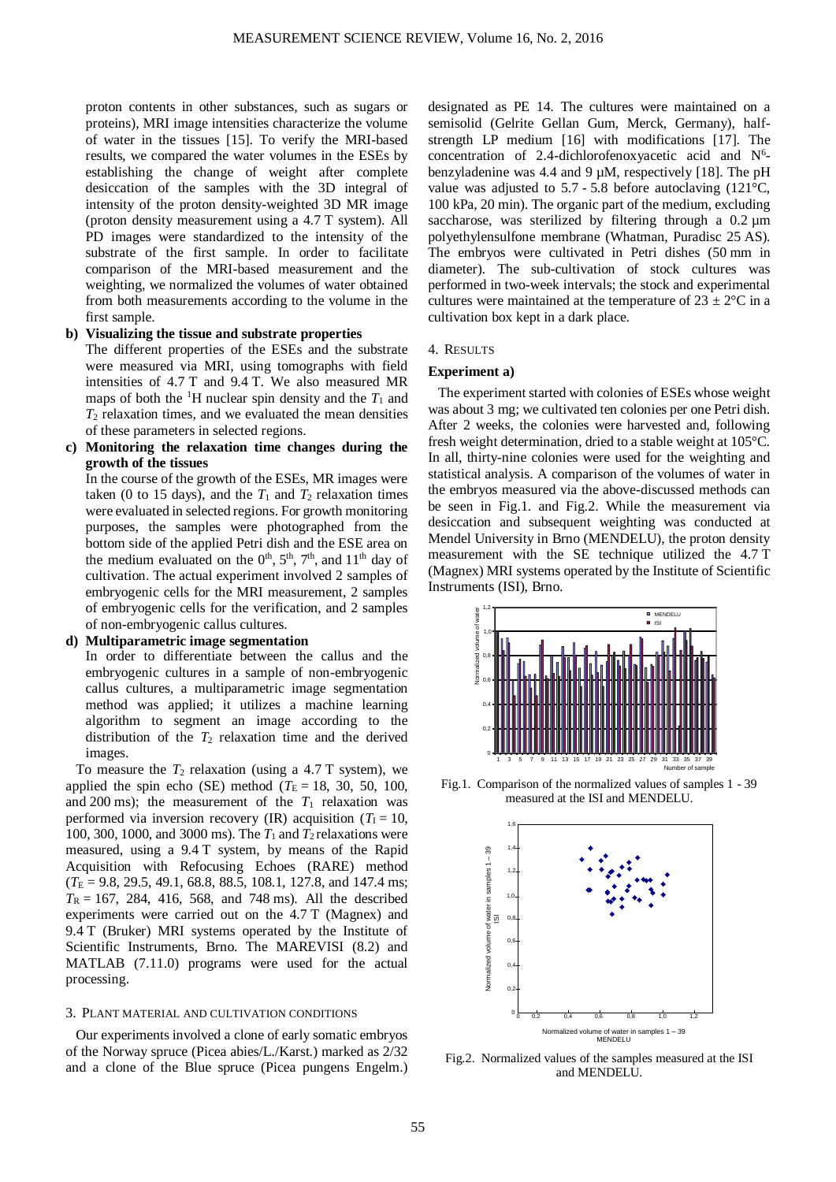proton contents in other substances, such as sugars or proteins), MRI image intensities characterize the volume of water in the tissues [15]. To verify the MRI-based results, we compared the water volumes in the ESEs by establishing the change of weight after complete desiccation of the samples with the 3D integral of intensity of the proton density-weighted 3D MR image (proton density measurement using a 4.7 T system). All PD images were standardized to the intensity of the substrate of the first sample. In order to facilitate comparison of the MRI-based measurement and the weighting, we normalized the volumes of water obtained from both measurements according to the volume in the first sample.

# **b) Visualizing the tissue and substrate properties**

The different properties of the ESEs and the substrate were measured via MRI, using tomographs with field intensities of 4.7 T and 9.4 T. We also measured MR maps of both the <sup>1</sup>H nuclear spin density and the  $T_1$  and  $T_2$  relaxation times, and we evaluated the mean densities of these parameters in selected regions.

**c) Monitoring the relaxation time changes during the growth of the tissues**

In the course of the growth of the ESEs, MR images were taken (0 to 15 days), and the  $T_1$  and  $T_2$  relaxation times were evaluated in selected regions. For growth monitoring purposes, the samples were photographed from the bottom side of the applied Petri dish and the ESE area on the medium evaluated on the  $0<sup>th</sup>$ ,  $5<sup>th</sup>$ ,  $7<sup>th</sup>$ , and  $11<sup>th</sup>$  day of cultivation. The actual experiment involved 2 samples of embryogenic cells for the MRI measurement, 2 samples of embryogenic cells for the verification, and 2 samples of non-embryogenic callus cultures.

# **d) Multiparametric image segmentation**

In order to differentiate between the callus and the embryogenic cultures in a sample of non-embryogenic callus cultures, a multiparametric image segmentation method was applied; it utilizes a machine learning algorithm to segment an image according to the distribution of the  $T_2$  relaxation time and the derived images.

To measure the  $T_2$  relaxation (using a 4.7 T system), we applied the spin echo (SE) method ( $T_E = 18$ , 30, 50, 100, and 200 ms); the measurement of the  $T_1$  relaxation was performed via inversion recovery (IR) acquisition ( $T_1 = 10$ , 100, 300, 1000, and 3000 ms). The  $T_1$  and  $T_2$  relaxations were measured, using a 9.4 T system, by means of the Rapid Acquisition with Refocusing Echoes (RARE) method  $(T_E = 9.8, 29.5, 49.1, 68.8, 88.5, 108.1, 127.8, and 147.4 \text{ ms};$  $T_R = 167$ , 284, 416, 568, and 748 ms). All the described experiments were carried out on the 4.7 T (Magnex) and 9.4 T (Bruker) MRI systems operated by the Institute of Scientific Instruments, Brno. The MAREVISI (8.2) and MATLAB (7.11.0) programs were used for the actual processing.

## 3. PLANT MATERIAL AND CULTIVATION CONDITIONS

Our experiments involved a clone of early somatic embryos of the Norway spruce (Picea abies/L./Karst.) marked as 2/32 and a clone of the Blue spruce (Picea pungens Engelm.) designated as PE 14. The cultures were maintained on a semisolid (Gelrite Gellan Gum, Merck, Germany), halfstrength LP medium [16] with modifications [17]. The concentration of 2.4-dichlorofenoxyacetic acid and  $N^6$ benzyladenine was 4.4 and 9 µM, respectively [18]. The pH value was adjusted to  $5.7 - 5.8$  before autoclaving (121 $\degree$ C, 100 kPa, 20 min). The organic part of the medium, excluding saccharose, was sterilized by filtering through a 0.2  $\mu$ m polyethylensulfone membrane (Whatman, Puradisc 25 AS). The embryos were cultivated in Petri dishes (50 mm in diameter). The sub-cultivation of stock cultures was performed in two-week intervals; the stock and experimental cultures were maintained at the temperature of  $23 \pm 2$ °C in a cultivation box kept in a dark place.

## 4. RESULTS

## **Experiment a)**

The experiment started with colonies of ESEs whose weight was about 3 mg; we cultivated ten colonies per one Petri dish. After 2 weeks, the colonies were harvested and, following fresh weight determination, dried to a stable weight at 105°C. In all, thirty-nine colonies were used for the weighting and statistical analysis. A comparison of the volumes of water in the embryos measured via the above-discussed methods can be seen in Fig.1. and Fig.2. While the measurement via desiccation and subsequent weighting was conducted at Mendel University in Brno (MENDELU), the proton density measurement with the SE technique utilized the 4.7 T (Magnex) MRI systems operated by the Institute of Scientific Instruments (ISI), Brno.



Fig.1. Comparison of the normalized values of samples 1 - 39 measured at the ISI and MENDELU.



Fig.2. Normalized values of the samples measured at the ISI and MENDELU.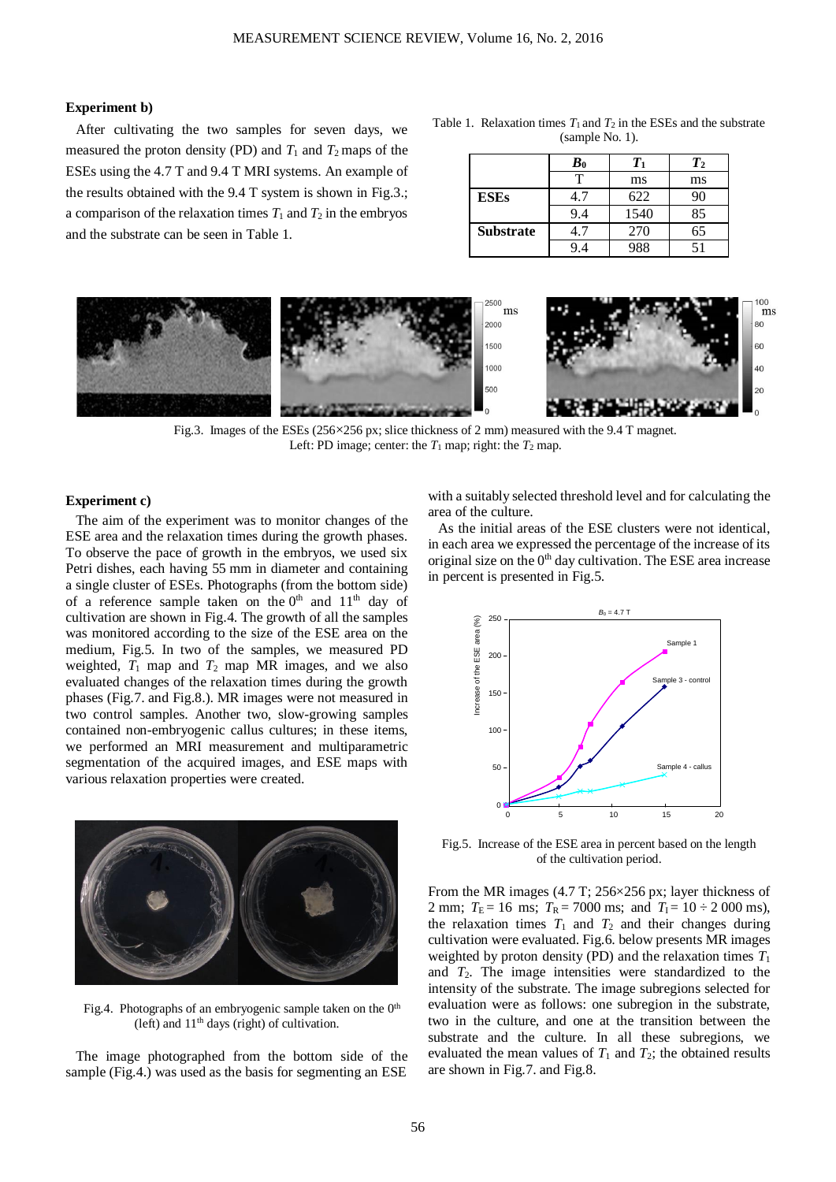# **Experiment b)**

After cultivating the two samples for seven days, we measured the proton density (PD) and  $T_1$  and  $T_2$  maps of the ESEs using the 4.7 T and 9.4 T MRI systems. An example of the results obtained with the 9.4 T system is shown in Fig.3.; a comparison of the relaxation times  $T_1$  and  $T_2$  in the embryos and the substrate can be seen in Table 1.

Table 1. Relaxation times  $T_1$  and  $T_2$  in the ESEs and the substrate (sample No. 1).

|                  | $\boldsymbol{B}_0$ | Tı   | $T_{2}$ |
|------------------|--------------------|------|---------|
|                  | т                  | ms   | ms      |
| <b>ESEs</b>      | 1.7                | 622  | 90      |
|                  | 9.4                | 1540 | 85      |
| <b>Substrate</b> | 17                 | 270  | 65      |
|                  | 94                 | 988  | 51      |



Fig.3. Images of the ESEs (256×256 px; slice thickness of 2 mm) measured with the 9.4 T magnet. Left: PD image; center: the  $T_1$  map; right: the  $T_2$  map.

# **Experiment c)**

The aim of the experiment was to monitor changes of the ESE area and the relaxation times during the growth phases. To observe the pace of growth in the embryos, we used six Petri dishes, each having 55 mm in diameter and containing a single cluster of ESEs. Photographs (from the bottom side) of a reference sample taken on the  $0<sup>th</sup>$  and  $11<sup>th</sup>$  day of cultivation are shown in Fig.4. The growth of all the samples was monitored according to the size of the ESE area on the medium, Fig.5. In two of the samples, we measured PD weighted,  $T_1$  map and  $T_2$  map MR images, and we also evaluated changes of the relaxation times during the growth phases (Fig.7. and Fig.8.). MR images were not measured in two control samples. Another two, slow-growing samples contained non-embryogenic callus cultures; in these items, we performed an MRI measurement and multiparametric segmentation of the acquired images, and ESE maps with various relaxation properties were created.



Fig.4. Photographs of an embryogenic sample taken on the 0<sup>th</sup> (left) and  $11<sup>th</sup>$  days (right) of cultivation.

The image photographed from the bottom side of the sample (Fig.4.) was used as the basis for segmenting an ESE

with a suitably selected threshold level and for calculating the area of the culture.

As the initial areas of the ESE clusters were not identical, in each area we expressed the percentage of the increase of its original size on the  $0<sup>th</sup>$  day cultivation. The ESE area increase in percent is presented in Fig.5.



Fig.5. Increase of the ESE area in percent based on the length of the cultivation period.

From the MR images (4.7 T; 256×256 px; layer thickness of 2 mm;  $T_E = 16$  ms;  $T_R = 7000$  ms; and  $T_I = 10 \div 2000$  ms), the relaxation times  $T_1$  and  $T_2$  and their changes during cultivation were evaluated. Fig.6. below presents MR images weighted by proton density (PD) and the relaxation times *T*<sup>1</sup> and *T*2. The image intensities were standardized to the intensity of the substrate. The image subregions selected for evaluation were as follows: one subregion in the substrate, two in the culture, and one at the transition between the substrate and the culture. In all these subregions, we evaluated the mean values of  $T_1$  and  $T_2$ ; the obtained results are shown in Fig.7. and Fig.8.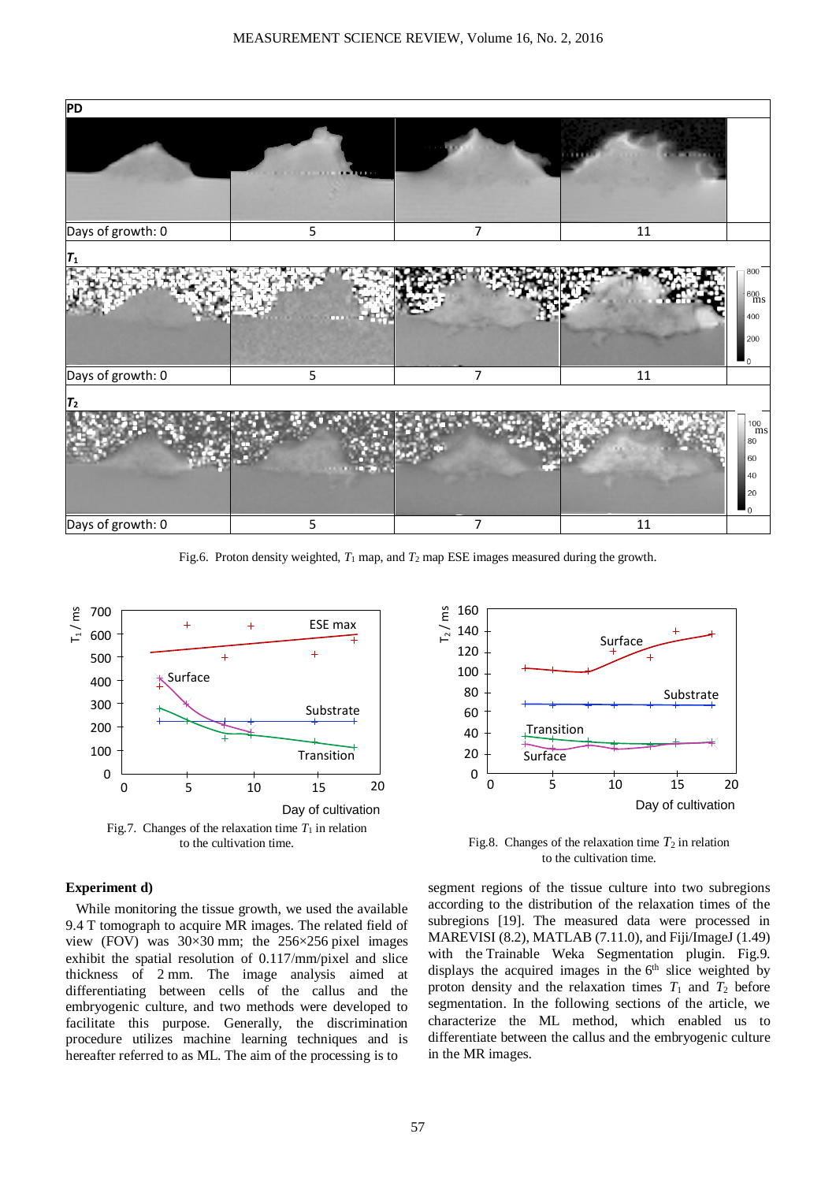

Fig.6. Proton density weighted,  $T_1$  map, and  $T_2$  map ESE images measured during the growth.



## **Experiment d)**

While monitoring the tissue growth, we used the available 9.4 T tomograph to acquire MR images. The related field of view (FOV) was 30×30 mm; the 256×256 pixel images exhibit the spatial resolution of 0.117mm/pixel and slice thickness of 2 mm. The image analysis aimed at differentiating between cells of the callus and the embryogenic culture, and two methods were developed to facilitate this purpose. Generally, the discrimination procedure utilizes machine learning techniques and is hereafter referred to as ML. The aim of the processing is to



Fig.8. Changes of the relaxation time  $T_2$  in relation to the cultivation time.

segment regions of the tissue culture into two subregions according to the distribution of the relaxation times of the subregions [19]. The measured data were processed in MAREVISI (8.2), MATLAB (7.11.0), and Fiji/ImageJ (1.49) with the Trainable Weka Segmentation plugin. Fig.9. displays the acquired images in the 6<sup>th</sup> slice weighted by proton density and the relaxation times  $T_1$  and  $T_2$  before segmentation. In the following sections of the article, we characterize the ML method, which enabled us to differentiate between the callus and the embryogenic culture in the MR images.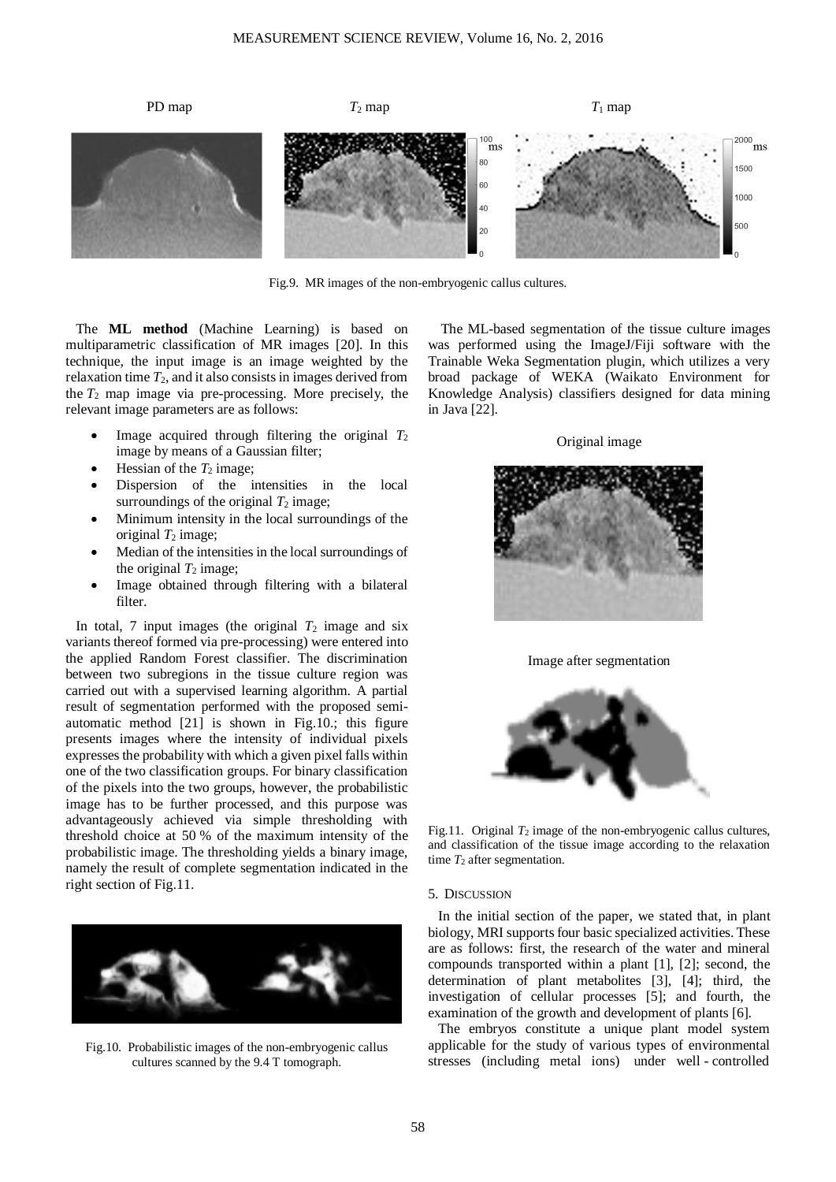

Fig.9. MR images of the non-embryogenic callus cultures.

The **ML method** (Machine Learning) is based on multiparametric classification of MR images [20]. In this technique, the input image is an image weighted by the relaxation time  $T_2$ , and it also consists in images derived from the  $T_2$  map image via pre-processing. More precisely, the relevant image parameters are as follows:

- Image acquired through filtering the original  $T_2$ image by means of a Gaussian filter;
- Hessian of the  $T_2$  image;
- Dispersion of the intensities in the local surroundings of the original  $T_2$  image;
- Minimum intensity in the local surroundings of the original  $T_2$  image;
- Median of the intensities in the local surroundings of the original  $T_2$  image;
- Image obtained through filtering with a bilateral filter.

In total, 7 input images (the original  $T_2$  image and six variants thereof formed via pre-processing) were entered into the applied Random Forest classifier. The discrimination between two subregions in the tissue culture region was carried out with a supervised learning algorithm. A partial result of segmentation performed with the proposed semiautomatic method [21] is shown in Fig.10.; this figure presents images where the intensity of individual pixels expresses the probability with which a given pixel falls within one of the two classification groups. For binary classification of the pixels into the two groups, however, the probabilistic image has to be further processed, and this purpose was advantageously achieved via simple thresholding with threshold choice at 50 % of the maximum intensity of the probabilistic image. The thresholding yields a binary image, namely the result of complete segmentation indicated in the right section of Fig.11.



Fig.10. Probabilistic images of the non-embryogenic callus cultures scanned by the 9.4 T tomograph.

 The ML-based segmentation of the tissue culture images was performed using the ImageJ/Fiji software with the Trainable Weka Segmentation plugin, which utilizes a very broad package of WEKA (Waikato Environment for Knowledge Analysis) classifiers designed for data mining in Java [22].

Original image







Fig.11. Original  $T_2$  image of the non-embryogenic callus cultures, and classification of the tissue image according to the relaxation time  $T_2$  after segmentation.

#### 5. DISCUSSION

In the initial section of the paper, we stated that, in plant biology, MRI supports four basic specialized activities. These are as follows: first, the research of the water and mineral compounds transported within a plant [1], [2]; second, the determination of plant metabolites [3], [4]; third, the investigation of cellular processes [5]; and fourth, the examination of the growth and development of plants [6].

The embryos constitute a unique plant model system applicable for the study of various types of environmental stresses (including metal ions) under well - controlled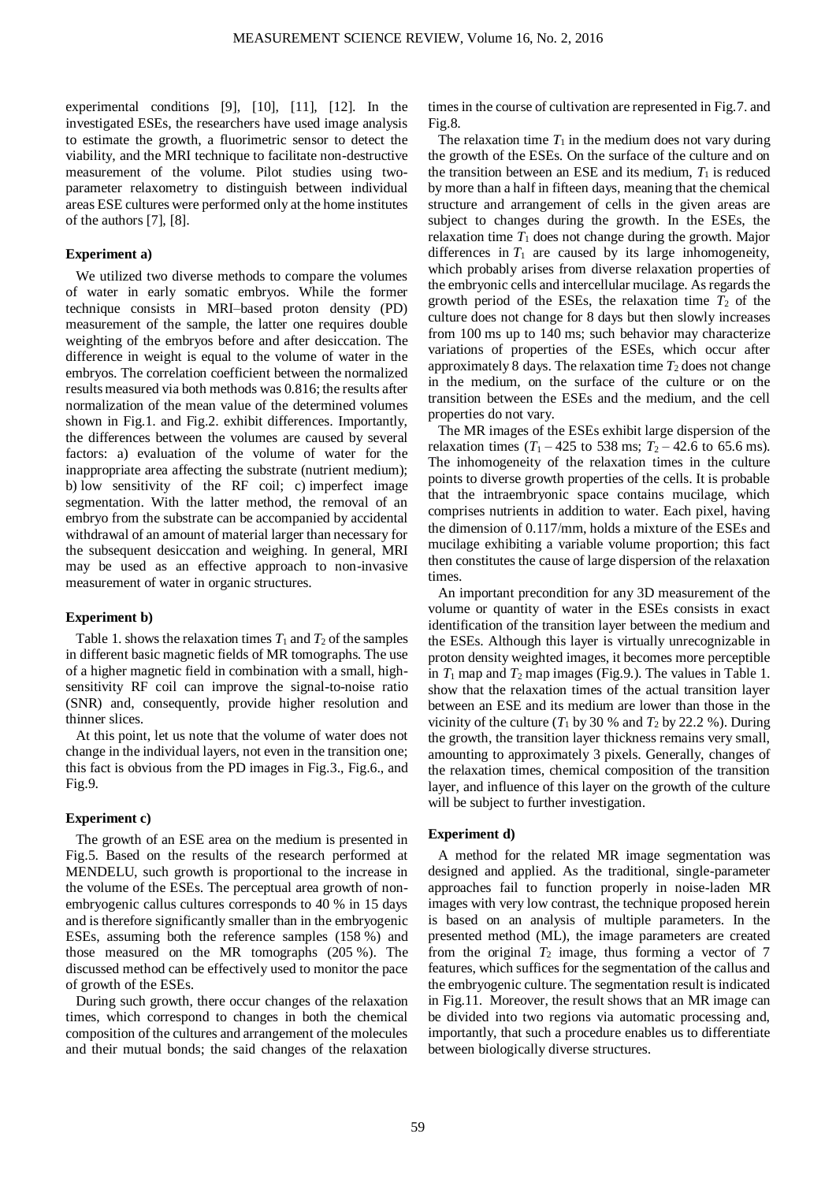experimental conditions [9], [10], [11], [12]. In the investigated ESEs, the researchers have used image analysis to estimate the growth, a fluorimetric sensor to detect the viability, and the MRI technique to facilitate non-destructive measurement of the volume. Pilot studies using twoparameter relaxometry to distinguish between individual areas ESE cultures were performed only at the home institutes of the authors [7], [8].

# **Experiment a)**

We utilized two diverse methods to compare the volumes of water in early somatic embryos. While the former technique consists in MRI–based proton density (PD) measurement of the sample, the latter one requires double weighting of the embryos before and after desiccation. The difference in weight is equal to the volume of water in the embryos. The correlation coefficient between the normalized results measured via both methods was 0.816; the results after normalization of the mean value of the determined volumes shown in Fig.1. and Fig.2. exhibit differences. Importantly, the differences between the volumes are caused by several factors: a) evaluation of the volume of water for the inappropriate area affecting the substrate (nutrient medium); b) low sensitivity of the RF coil; c) imperfect image segmentation. With the latter method, the removal of an embryo from the substrate can be accompanied by accidental withdrawal of an amount of material larger than necessary for the subsequent desiccation and weighing. In general, MRI may be used as an effective approach to non-invasive measurement of water in organic structures.

#### **Experiment b)**

Table 1. shows the relaxation times  $T_1$  and  $T_2$  of the samples in different basic magnetic fields of MR tomographs. The use of a higher magnetic field in combination with a small, highsensitivity RF coil can improve the signal-to-noise ratio (SNR) and, consequently, provide higher resolution and thinner slices.

At this point, let us note that the volume of water does not change in the individual layers, not even in the transition one; this fact is obvious from the PD images in Fig.3., Fig.6., and Fig.9.

## **Experiment c)**

The growth of an ESE area on the medium is presented in Fig.5. Based on the results of the research performed at MENDELU, such growth is proportional to the increase in the volume of the ESEs. The perceptual area growth of nonembryogenic callus cultures corresponds to 40 % in 15 days and is therefore significantly smaller than in the embryogenic ESEs, assuming both the reference samples (158 %) and those measured on the MR tomographs (205 %). The discussed method can be effectively used to monitor the pace of growth of the ESEs.

During such growth, there occur changes of the relaxation times, which correspond to changes in both the chemical composition of the cultures and arrangement of the molecules and their mutual bonds; the said changes of the relaxation times in the course of cultivation are represented in Fig.7. and Fig.8.

The relaxation time  $T_1$  in the medium does not vary during the growth of the ESEs. On the surface of the culture and on the transition between an ESE and its medium,  $T_1$  is reduced by more than a half in fifteen days, meaning that the chemical structure and arrangement of cells in the given areas are subject to changes during the growth. In the ESEs, the relaxation time  $T_1$  does not change during the growth. Major differences in  $T_1$  are caused by its large inhomogeneity, which probably arises from diverse relaxation properties of the embryonic cells and intercellular mucilage. As regards the growth period of the ESEs, the relaxation time  $T_2$  of the culture does not change for 8 days but then slowly increases from 100 ms up to 140 ms; such behavior may characterize variations of properties of the ESEs, which occur after approximately 8 days. The relaxation time  $T_2$  does not change in the medium, on the surface of the culture or on the transition between the ESEs and the medium, and the cell properties do not vary.

The MR images of the ESEs exhibit large dispersion of the relaxation times  $(T_1 - 425$  to 538 ms;  $T_2 - 42.6$  to 65.6 ms). The inhomogeneity of the relaxation times in the culture points to diverse growth properties of the cells. It is probable that the intraembryonic space contains mucilage, which comprises nutrients in addition to water. Each pixel, having the dimension of 0.117/mm, holds a mixture of the ESEs and mucilage exhibiting a variable volume proportion; this fact then constitutes the cause of large dispersion of the relaxation times.

An important precondition for any 3D measurement of the volume or quantity of water in the ESEs consists in exact identification of the transition layer between the medium and the ESEs. Although this layer is virtually unrecognizable in proton density weighted images, it becomes more perceptible in  $T_1$  map and  $T_2$  map images (Fig.9.). The values in Table 1. show that the relaxation times of the actual transition layer between an ESE and its medium are lower than those in the vicinity of the culture  $(T_1$  by 30 % and  $T_2$  by 22.2 %). During the growth, the transition layer thickness remains very small, amounting to approximately 3 pixels. Generally, changes of the relaxation times, chemical composition of the transition layer, and influence of this layer on the growth of the culture will be subject to further investigation.

## **Experiment d)**

A method for the related MR image segmentation was designed and applied. As the traditional, single-parameter approaches fail to function properly in noise-laden MR images with very low contrast, the technique proposed herein is based on an analysis of multiple parameters. In the presented method (ML), the image parameters are created from the original  $T_2$  image, thus forming a vector of 7 features, which suffices for the segmentation of the callus and the embryogenic culture. The segmentation result is indicated in Fig.11. Moreover, the result shows that an MR image can be divided into two regions via automatic processing and, importantly, that such a procedure enables us to differentiate between biologically diverse structures.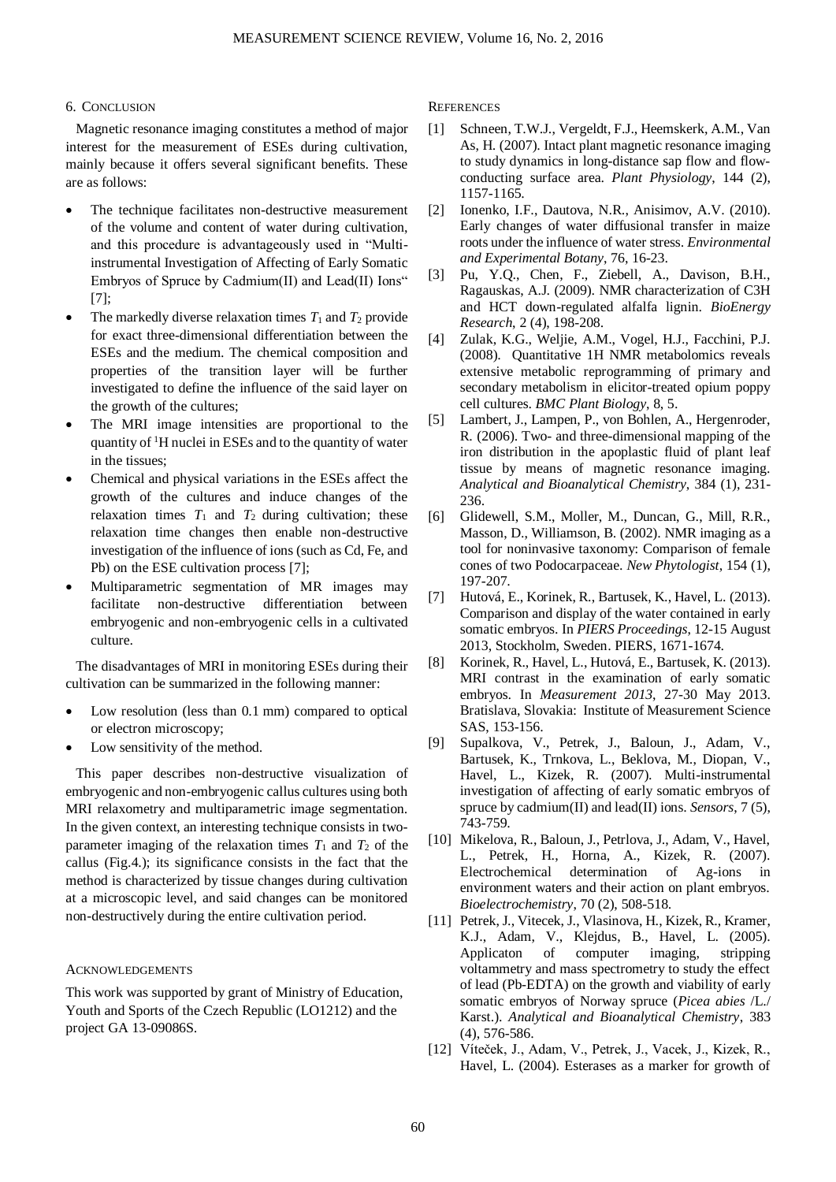# 6. CONCLUSION

Magnetic resonance imaging constitutes a method of major interest for the measurement of ESEs during cultivation, mainly because it offers several significant benefits. These are as follows:

- The technique facilitates non-destructive measurement of the volume and content of water during cultivation, and this procedure is advantageously used in "Multiinstrumental Investigation of Affecting of Early Somatic Embryos of Spruce by Cadmium(II) and Lead(II) Ions" [7];
- The markedly diverse relaxation times  $T_1$  and  $T_2$  provide for exact three-dimensional differentiation between the ESEs and the medium. The chemical composition and properties of the transition layer will be further investigated to define the influence of the said layer on the growth of the cultures;
- The MRI image intensities are proportional to the quantity of  ${}^{1}$ H nuclei in ESEs and to the quantity of water in the tissues;
- Chemical and physical variations in the ESEs affect the growth of the cultures and induce changes of the relaxation times  $T_1$  and  $T_2$  during cultivation; these relaxation time changes then enable non-destructive investigation of the influence of ions (such as Cd, Fe, and Pb) on the ESE cultivation process [7];
- Multiparametric segmentation of MR images may facilitate non-destructive differentiation between embryogenic and non-embryogenic cells in a cultivated culture.

The disadvantages of MRI in monitoring ESEs during their cultivation can be summarized in the following manner:

- Low resolution (less than 0.1 mm) compared to optical or electron microscopy;
- Low sensitivity of the method.

This paper describes non-destructive visualization of embryogenic and non-embryogenic callus cultures using both MRI relaxometry and multiparametric image segmentation. In the given context, an interesting technique consists in twoparameter imaging of the relaxation times  $T_1$  and  $T_2$  of the callus (Fig.4.); its significance consists in the fact that the method is characterized by tissue changes during cultivation at a microscopic level, and said changes can be monitored non-destructively during the entire cultivation period.

#### ACKNOWLEDGEMENTS

This work was supported by grant of Ministry of Education, Youth and Sports of the Czech Republic (LO1212) and the project GA 13-09086S.

**REFERENCES** 

- [1] Schneen, T.W.J., Vergeldt, F.J., Heemskerk, A.M., Van As, H. (2007). Intact plant magnetic resonance imaging to study dynamics in long-distance sap flow and flowconducting surface area. *Plant Physiology*, 144 (2), 1157-1165.
- [2] Ionenko, I.F., Dautova, N.R., Anisimov, A.V. (2010). Early changes of water diffusional transfer in maize roots under the influence of water stress. *Environmental and Experimental Botany*, 76, 16-23.
- [3] Pu, Y.Q., Chen, F., Ziebell, A., Davison, B.H., Ragauskas, A.J. (2009). NMR characterization of C3H and HCT down-regulated alfalfa lignin. *BioEnergy Research*, 2 (4), 198-208.
- [4] Zulak, K.G., Weljie, A.M., Vogel, H.J., Facchini, P.J. (2008). Quantitative 1H NMR metabolomics reveals extensive metabolic reprogramming of primary and secondary metabolism in elicitor-treated opium poppy cell cultures. *BMC Plant Biology*, 8, 5.
- [5] Lambert, J., Lampen, P., von Bohlen, A., Hergenroder, R. (2006). Two- and three-dimensional mapping of the iron distribution in the apoplastic fluid of plant leaf tissue by means of magnetic resonance imaging. *Analytical and Bioanalytical Chemistry*, 384 (1), 231- 236.
- [6] Glidewell, S.M., Moller, M., Duncan, G., Mill, R.R., Masson, D., Williamson, B. (2002). NMR imaging as a tool for noninvasive taxonomy: Comparison of female cones of two Podocarpaceae. *New Phytologist*, 154 (1), 197-207.
- [7] Hutová, E., Korinek, R., Bartusek, K., Havel, L. (2013). Comparison and display of the water contained in early somatic embryos. In *PIERS Proceedings*, 12-15 August 2013, Stockholm, Sweden. PIERS, 1671-1674.
- [8] Korinek, R., Havel, L., Hutová, E., Bartusek, K. (2013). MRI contrast in the examination of early somatic embryos. In *Measurement 2013*, 27-30 May 2013. Bratislava, Slovakia: Institute of Measurement Science SAS, 153-156.
- [9] Supalkova, V., Petrek, J., Baloun, J., Adam, V., Bartusek, K., Trnkova, L., Beklova, M., Diopan, V., Havel, L., Kizek, R. (2007). Multi-instrumental investigation of affecting of early somatic embryos of spruce by cadmium(II) and lead(II) ions. *Sensors*, 7 (5), 743-759.
- [10] Mikelova, R., Baloun, J., Petrlova, J., Adam, V., Havel, L., Petrek, H., Horna, A., Kizek, R. (2007). Electrochemical determination of Ag-ions in environment waters and their action on plant embryos. *Bioelectrochemistry*, 70 (2), 508-518.
- [11] Petrek, J., Vitecek, J., Vlasinova, H., Kizek, R., Kramer, K.J., Adam, V., Klejdus, B., Havel, L. (2005). Applicaton of computer imaging, stripping voltammetry and mass spectrometry to study the effect of lead (Pb-EDTA) on the growth and viability of early somatic embryos of Norway spruce (*Picea abies* /L./ Karst.). *Analytical and Bioanalytical Chemistry*, 383 (4), 576-586.
- [12] Víteček, J., Adam, V., Petrek, J., Vacek, J., Kizek, R., Havel, L. (2004). Esterases as a marker for growth of